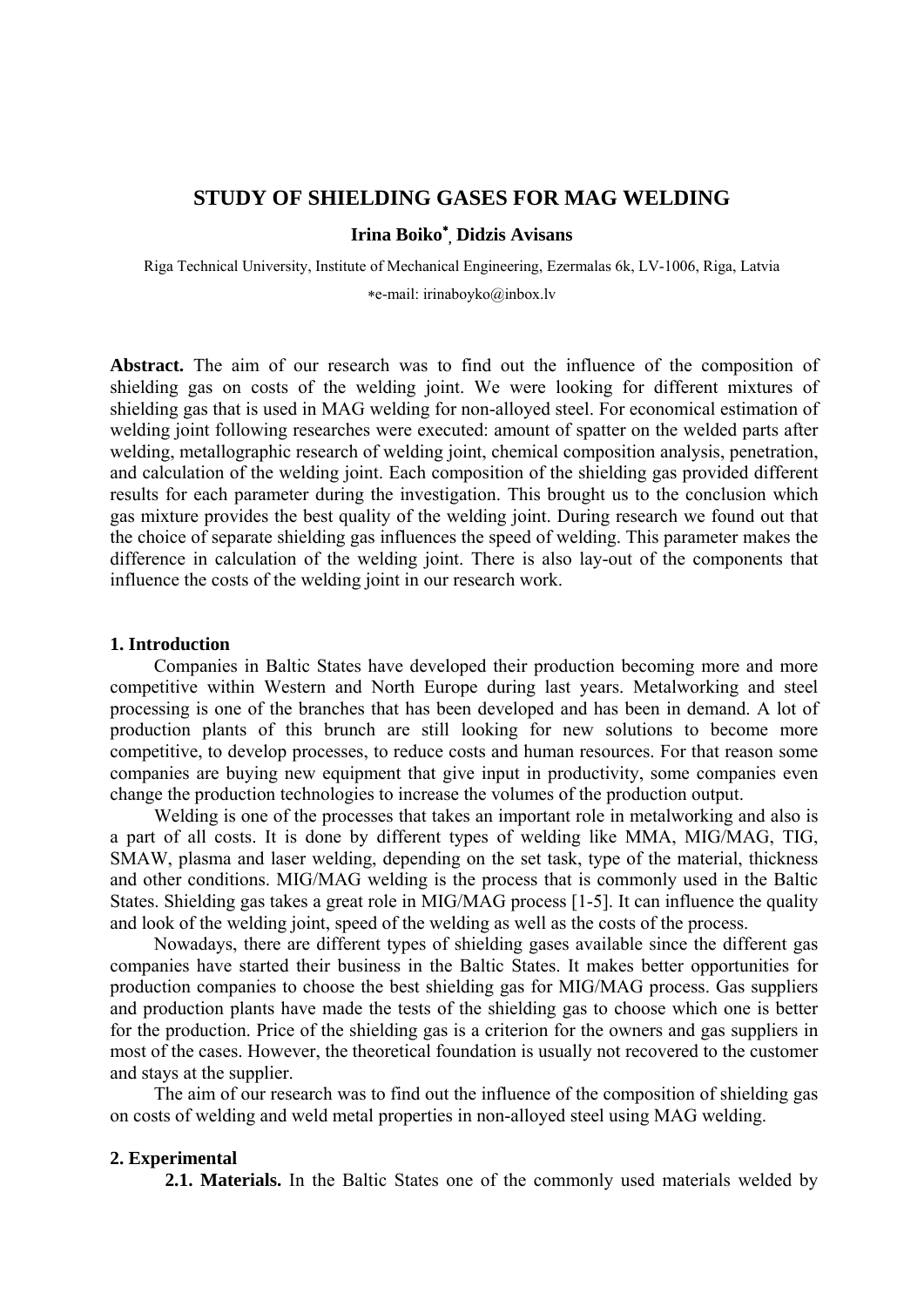## **STUDY OF SHIELDING GASES FOR MAG WELDING**

# **Irina Boiko , Didzis Avisans**

Riga Technical University, Institute of Mechanical Engineering, Ezermalas 6k, LV-1006, Riga, Latvia

e-mail: irinaboyko@inbox.lv

**Abstract.** The aim of our research was to find out the influence of the composition of shielding gas on costs of the welding joint. We were looking for different mixtures of shielding gas that is used in MAG welding for non-alloyed steel. For economical estimation of welding joint following researches were executed: amount of spatter on the welded parts after welding, metallographic research of welding joint, chemical composition analysis, penetration, and calculation of the welding joint. Each composition of the shielding gas provided different results for each parameter during the investigation. This brought us to the conclusion which gas mixture provides the best quality of the welding joint. During research we found out that the choice of separate shielding gas influences the speed of welding. This parameter makes the difference in calculation of the welding joint. There is also lay-out of the components that influence the costs of the welding joint in our research work.

#### **1. Introduction**

Companies in Baltic States have developed their production becoming more and more competitive within Western and North Europe during last years. Metalworking and steel processing is one of the branches that has been developed and has been in demand. A lot of production plants of this brunch are still looking for new solutions to become more competitive, to develop processes, to reduce costs and human resources. For that reason some companies are buying new equipment that give input in productivity, some companies even change the production technologies to increase the volumes of the production output.

Welding is one of the processes that takes an important role in metalworking and also is a part of all costs. It is done by different types of welding like MMA, MIG/MAG, TIG, SMAW, plasma and laser welding, depending on the set task, type of the material, thickness and other conditions. MIG/MAG welding is the process that is commonly used in the Baltic States. Shielding gas takes a great role in MIG/MAG process [1-5]. It can influence the quality and look of the welding joint, speed of the welding as well as the costs of the process.

Nowadays, there are different types of shielding gases available since the different gas companies have started their business in the Baltic States. It makes better opportunities for production companies to choose the best shielding gas for MIG/MAG process. Gas suppliers and production plants have made the tests of the shielding gas to choose which one is better for the production. Price of the shielding gas is a criterion for the owners and gas suppliers in most of the cases. However, the theoretical foundation is usually not recovered to the customer and stays at the supplier.

The aim of our research was to find out the influence of the composition of shielding gas on costs of welding and weld metal properties in non-alloyed steel using MAG welding.

#### **2. Experimental**

**2.1. Materials.** In the Baltic States one of the commonly used materials welded by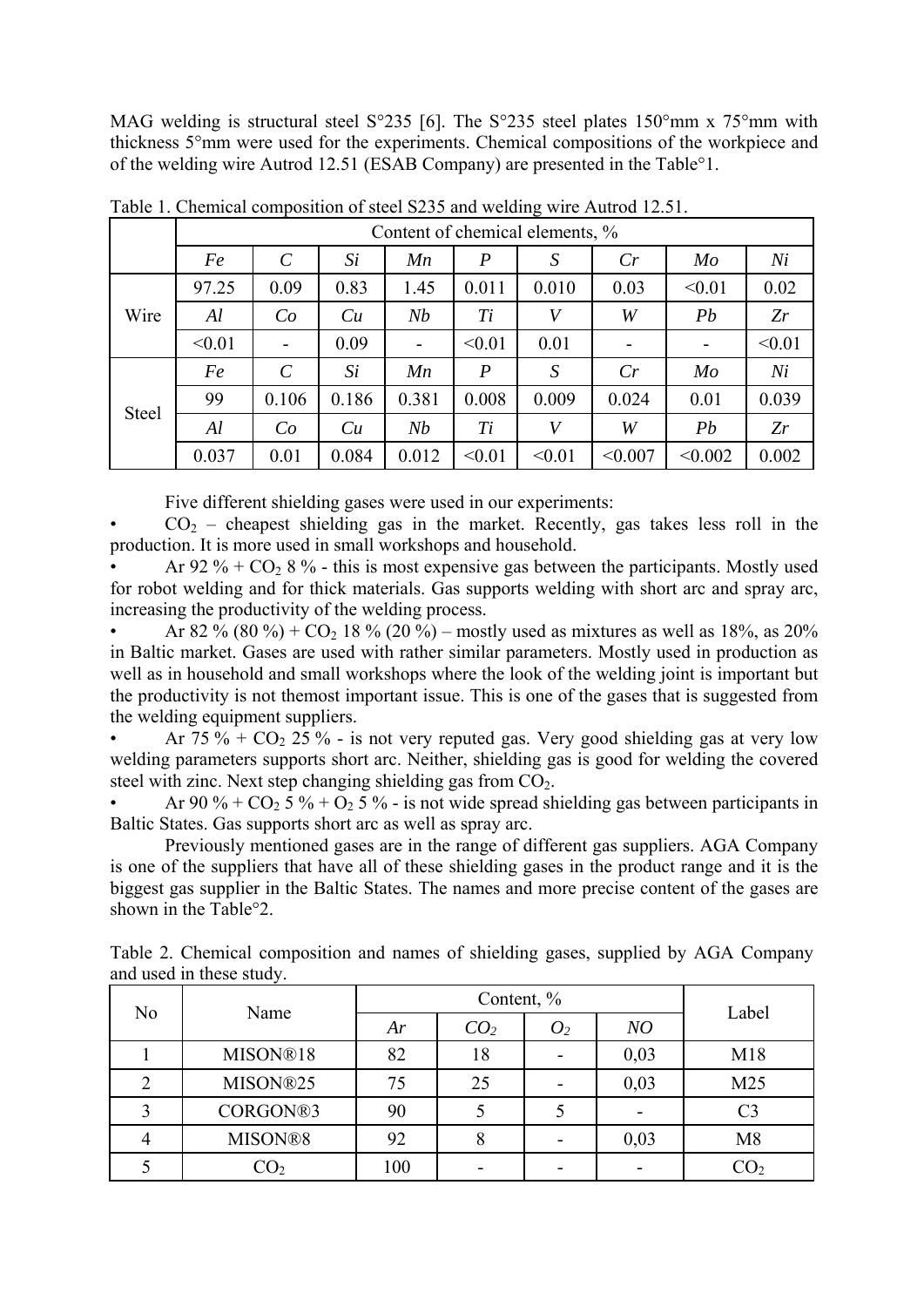MAG welding is structural steel S°235 [6]. The S°235 steel plates 150°mm x 75°mm with thickness 5°mm were used for the experiments. Chemical compositions of the workpiece and of the welding wire Autrod 12.51 (ESAB Company) are presented in the Table°1.

|              | Content of chemical elements, % |                         |       |       |                  |        |         |                |        |  |
|--------------|---------------------------------|-------------------------|-------|-------|------------------|--------|---------|----------------|--------|--|
|              | Fe                              | $\mathcal{C}_{0}^{(n)}$ | Si    | Mn    | $\boldsymbol{P}$ | S      | Cr      | $M_{O}$        | Ni     |  |
| Wire         | 97.25                           | 0.09                    | 0.83  | 1.45  | 0.011            | 0.010  | 0.03    | < 0.01         | 0.02   |  |
|              | Al                              | Co                      | Cu    | Nb    | Ti               | V      | W       | Pb             | Zr     |  |
|              | < 0.01                          |                         | 0.09  |       | < 0.01           | 0.01   |         |                | < 0.01 |  |
| <b>Steel</b> | Fe                              | $\mathcal{C}$           | Si    | Mn    | $\boldsymbol{P}$ | S      | Cr      | M <sub>o</sub> | Ni     |  |
|              | 99                              | 0.106                   | 0.186 | 0.381 | 0.008            | 0.009  | 0.024   | 0.01           | 0.039  |  |
|              | Al                              | Co                      | Cu    | Nb    | Ti               | V      | W       | Pb             | Zr     |  |
|              | 0.037                           | 0.01                    | 0.084 | 0.012 | < 0.01           | < 0.01 | < 0.007 | < 0.002        | 0.002  |  |

Table 1. Chemical composition of steel S235 and welding wire Autrod 12.51.

Five different shielding gases were used in our experiments:

 $CO<sub>2</sub>$  – cheapest shielding gas in the market. Recently, gas takes less roll in the production. It is more used in small workshops and household.

Ar 92  $%$  + CO<sub>2</sub> 8  $%$  - this is most expensive gas between the participants. Mostly used for robot welding and for thick materials. Gas supports welding with short arc and spray arc, increasing the productivity of the welding process.

Ar 82 % (80 %) +  $CO_2$  18 % (20 %) – mostly used as mixtures as well as 18%, as 20% in Baltic market. Gases are used with rather similar parameters. Mostly used in production as well as in household and small workshops where the look of the welding joint is important but the productivity is not themost important issue. This is one of the gases that is suggested from the welding equipment suppliers.

Ar  $75\%$  + CO<sub>2</sub> 25 % - is not very reputed gas. Very good shielding gas at very low welding parameters supports short arc. Neither, shielding gas is good for welding the covered steel with zinc. Next step changing shielding gas from  $CO<sub>2</sub>$ .

Ar 90 % +  $CO_2$  5 % +  $O_2$  5 % - is not wide spread shielding gas between participants in Baltic States. Gas supports short arc as well as spray arc.

Previously mentioned gases are in the range of different gas suppliers. AGA Company is one of the suppliers that have all of these shielding gases in the product range and it is the biggest gas supplier in the Baltic States. The names and more precise content of the gases are shown in the Table°2.

| N <sub>0</sub> |                 |     |                 |                |      |                 |
|----------------|-----------------|-----|-----------------|----------------|------|-----------------|
|                | Name            | Ar  | CO <sub>2</sub> | O <sub>2</sub> | NO   | Label           |
|                | MISON®18        | 82  | 18              |                | 0,03 | M18             |
|                | MISON®25        | 75  | 25              |                | 0,03 | M <sub>25</sub> |
|                | CORGON®3        | 90  |                 |                |      | C3              |
|                | MISON®8         | 92  |                 |                | 0,03 | M8              |
|                | $\mathrm{CO}_2$ | 100 |                 |                |      | $CO_{2}$        |

Table 2. Chemical composition and names of shielding gases, supplied by AGA Company and used in these study.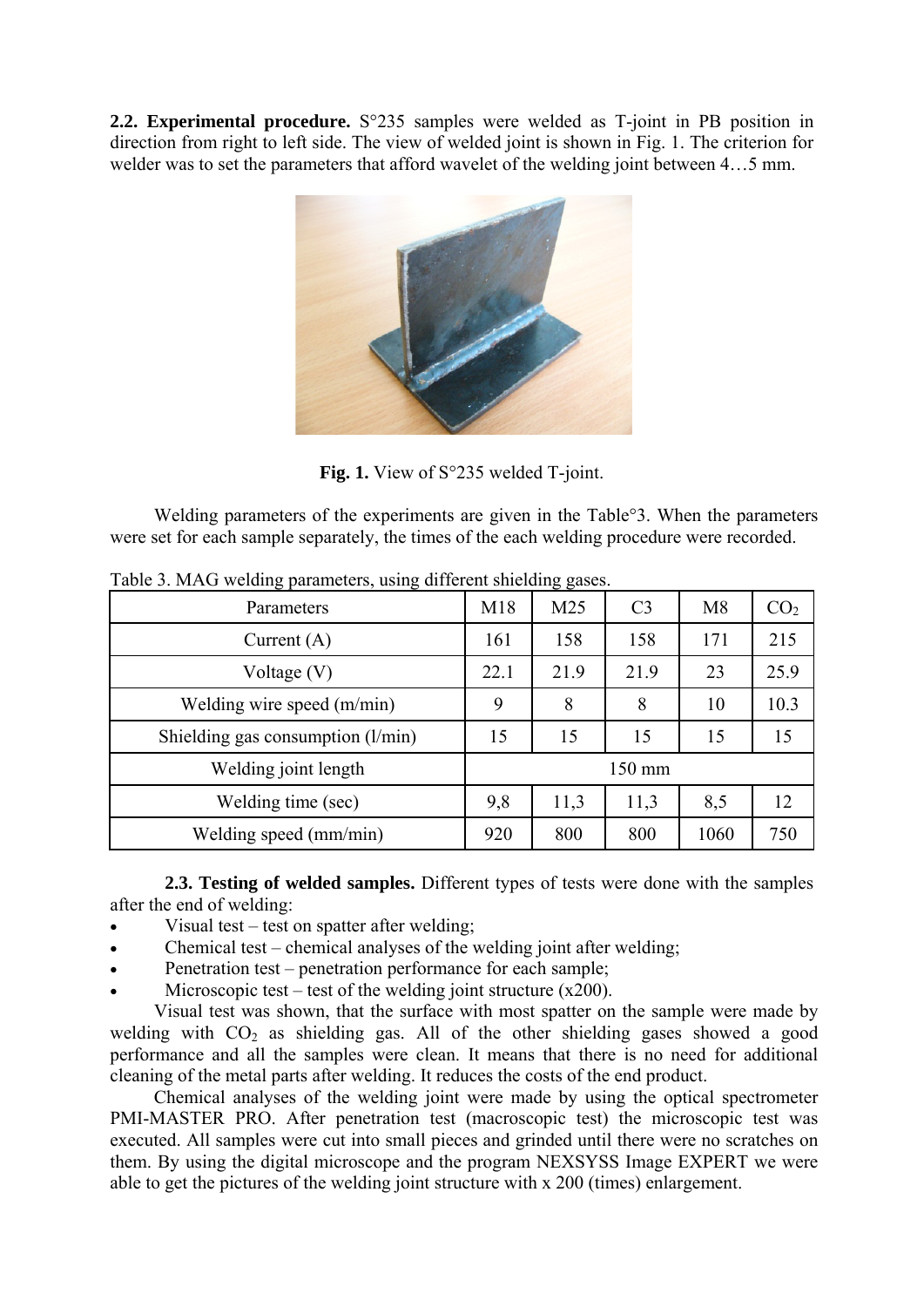**2.2. Experimental procedure.** S°235 samples were welded as T-joint in PB position in direction from right to left side. The view of welded joint is shown in Fig. 1. The criterion for welder was to set the parameters that afford wavelet of the welding joint between 4…5 mm.



Fig. 1. View of S°235 welded T-joint.

Welding parameters of the experiments are given in the Table<sup>o</sup>3. When the parameters were set for each sample separately, the times of the each welding procedure were recorded.

| Parameters                          | M18              | M <sub>25</sub> | C <sub>3</sub> | M8   | CO <sub>2</sub> |
|-------------------------------------|------------------|-----------------|----------------|------|-----------------|
| Current $(A)$                       | 161              | 158             | 158            | 171  | 215             |
| Voltage $(V)$                       | 22.1             | 21.9            | 21.9           | 23   | 25.9            |
| Welding wire speed (m/min)          | 9                | 8               | 8              | 10   | 10.3            |
| Shielding gas consumption $(l/min)$ | 15               | 15              | 15             | 15   | 15              |
| Welding joint length                | $150 \text{ mm}$ |                 |                |      |                 |
| Welding time (sec)                  | 9,8              | 11,3            | 11,3           | 8,5  | 12              |
| Welding speed (mm/min)              | 920              | 800             | 800            | 1060 | 750             |

Table 3. MAG welding parameters, using different shielding gases.

**2.3. Testing of welded samples.** Different types of tests were done with the samples after the end of welding:

- Visual test test on spatter after welding;
- $\bullet$  Chemical test chemical analyses of the welding joint after welding;
- Penetration test penetration performance for each sample;
- Microscopic test test of the welding joint structure  $(x200)$ .

Visual test was shown, that the surface with most spatter on the sample were made by welding with  $CO<sub>2</sub>$  as shielding gas. All of the other shielding gases showed a good performance and all the samples were clean. It means that there is no need for additional cleaning of the metal parts after welding. It reduces the costs of the end product.

Chemical analyses of the welding joint were made by using the optical spectrometer PMI-MASTER PRO. After penetration test (macroscopic test) the microscopic test was executed. All samples were cut into small pieces and grinded until there were no scratches on them. By using the digital microscope and the program NEXSYSS Image EXPERT we were able to get the pictures of the welding joint structure with x 200 (times) enlargement.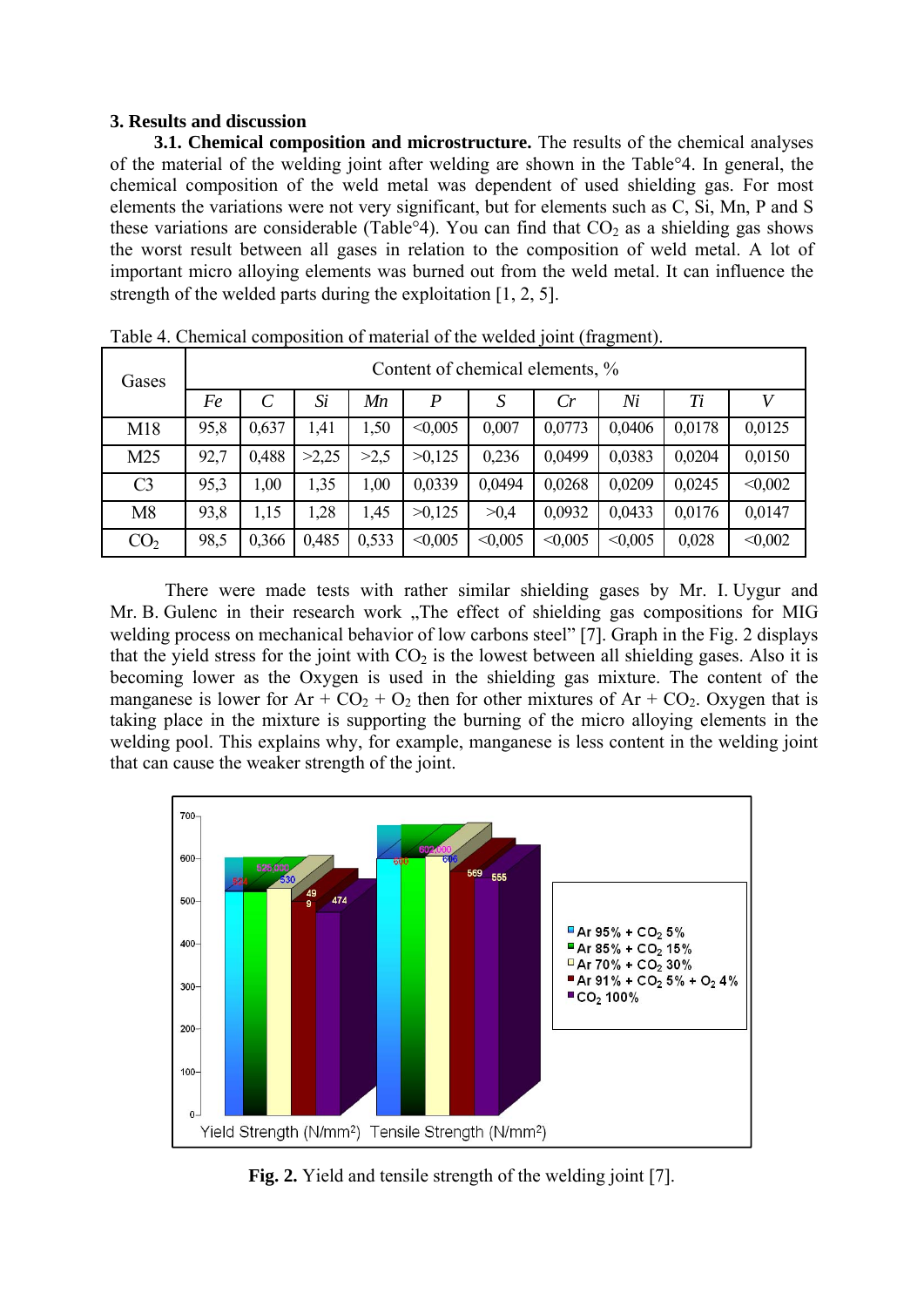### **3. Results and discussion**

**3.1. Chemical composition and microstructure.** The results of the chemical analyses of the material of the welding joint after welding are shown in the Table°4. In general, the chemical composition of the weld metal was dependent of used shielding gas. For most elements the variations were not very significant, but for elements such as C, Si, Mn, P and S these variations are considerable (Table°4). You can find that  $CO<sub>2</sub>$  as a shielding gas shows the worst result between all gases in relation to the composition of weld metal. A lot of important micro alloying elements was burned out from the weld metal. It can influence the strength of the welded parts during the exploitation  $[1, 2, 5]$ .

| Gases           | Content of chemical elements, % |       |       |       |                  |                  |         |         |        |         |  |
|-----------------|---------------------------------|-------|-------|-------|------------------|------------------|---------|---------|--------|---------|--|
|                 | Fe                              |       | Si    | Mn    | $\boldsymbol{P}$ | $\boldsymbol{S}$ | Cr      | Ni      | Ti     |         |  |
| M18             | 95,8                            | 0,637 | 1,41  | 1,50  | < 0.005          | 0,007            | 0,0773  | 0,0406  | 0,0178 | 0,0125  |  |
| M <sub>25</sub> | 92,7                            | 0,488 | >2,25 | >2,5  | >0,125           | 0,236            | 0,0499  | 0,0383  | 0,0204 | 0,0150  |  |
| C <sub>3</sub>  | 95,3                            | 1,00  | 1,35  | 1,00  | 0,0339           | 0,0494           | 0,0268  | 0,0209  | 0,0245 | < 0.002 |  |
| M8              | 93,8                            | 1,15  | ,28   | 1,45  | >0,125           | >0,4             | 0,0932  | 0,0433  | 0,0176 | 0,0147  |  |
| CO <sub>2</sub> | 98,5                            | 0,366 | 0,485 | 0,533 | < 0.005          | < 0.005          | < 0.005 | < 0.005 | 0,028  | < 0.002 |  |

Table 4. Chemical composition of material of the welded joint (fragment).

There were made tests with rather similar shielding gases by Mr. I. Uygur and Mr. B. Gulenc in their research work "The effect of shielding gas compositions for MIG welding process on mechanical behavior of low carbons steel" [7]. Graph in the Fig. 2 displays that the yield stress for the joint with  $CO<sub>2</sub>$  is the lowest between all shielding gases. Also it is becoming lower as the Oxygen is used in the shielding gas mixture. The content of the manganese is lower for  $Ar + CO_2 + O_2$  then for other mixtures of  $Ar + CO_2$ . Oxygen that is taking place in the mixture is supporting the burning of the micro alloying elements in the welding pool. This explains why, for example, manganese is less content in the welding joint that can cause the weaker strength of the joint.



**Fig. 2.** Yield and tensile strength of the welding joint [7].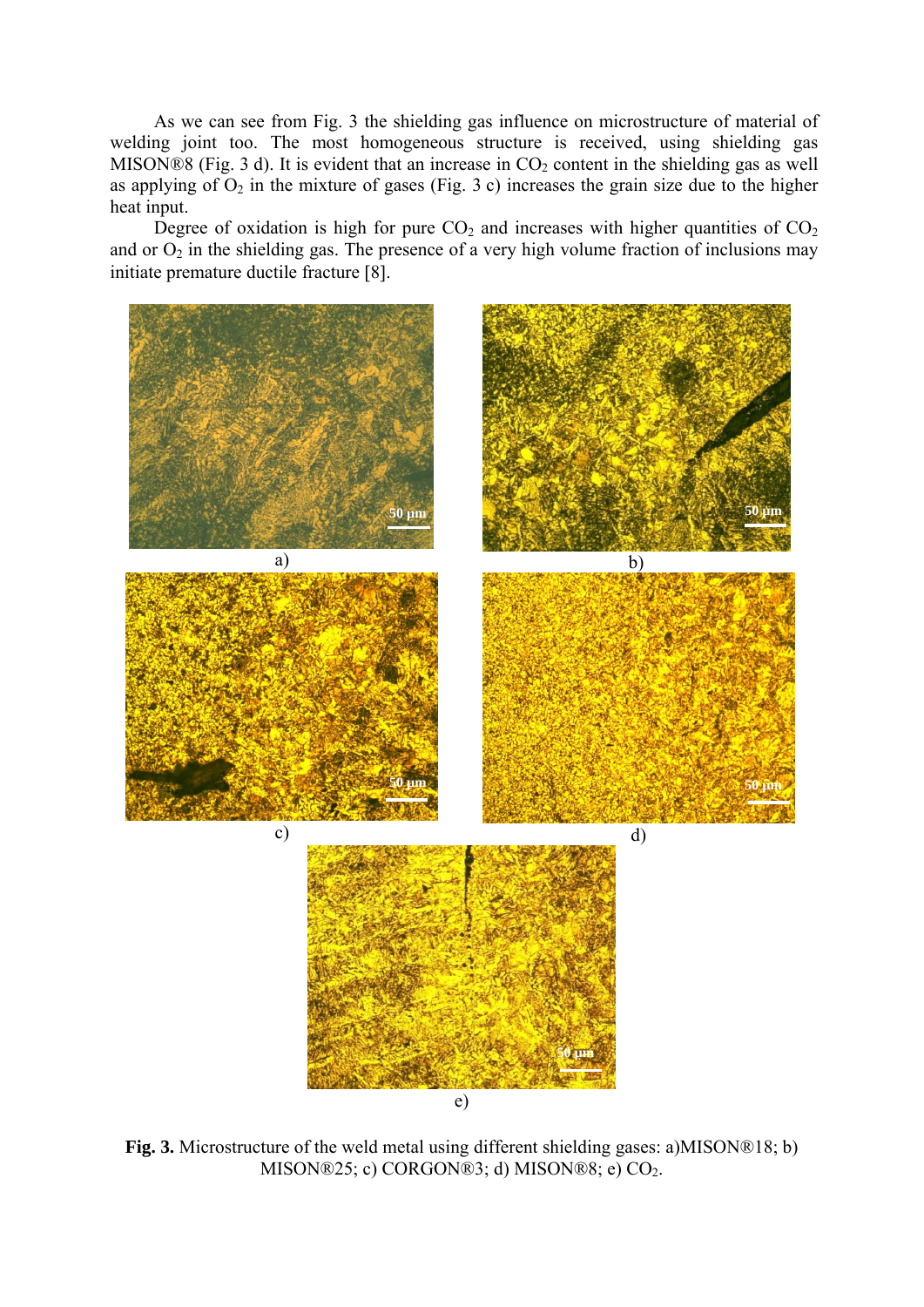As we can see from Fig. 3 the shielding gas influence on microstructure of material of welding joint too. The most homogeneous structure is received, using shielding gas MISON®8 (Fig. 3 d). It is evident that an increase in  $CO<sub>2</sub>$  content in the shielding gas as well as applying of  $O_2$  in the mixture of gases (Fig. 3 c) increases the grain size due to the higher heat input.

Degree of oxidation is high for pure  $CO<sub>2</sub>$  and increases with higher quantities of  $CO<sub>2</sub>$ and or  $O_2$  in the shielding gas. The presence of a very high volume fraction of inclusions may initiate premature ductile fracture [8].



**Fig. 3.** Microstructure of the weld metal using different shielding gases: a)MISON®18; b) MISON®25; c) CORGON®3; d) MISON®8; e) CO<sub>2</sub>.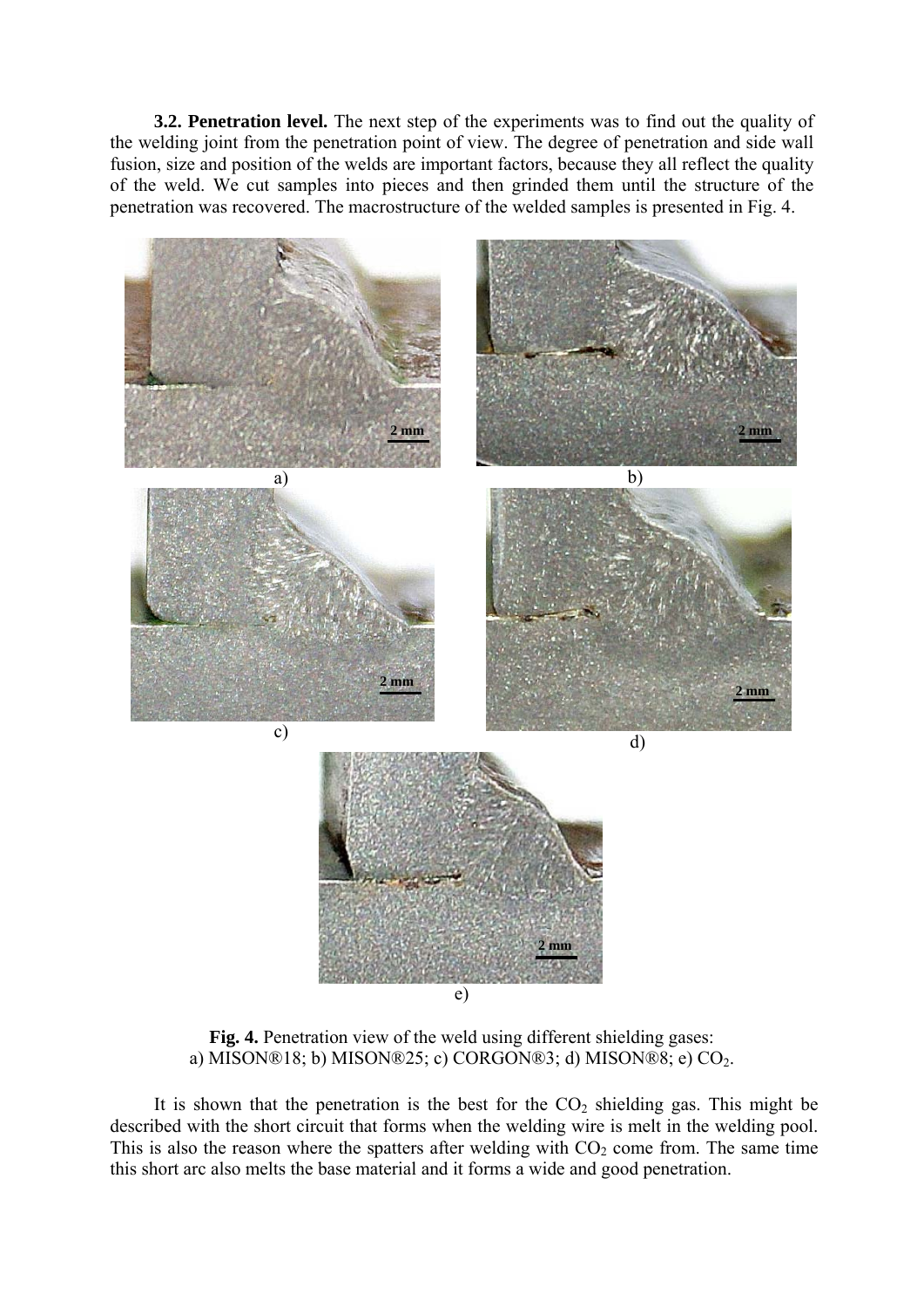**3.2. Penetration level.** The next step of the experiments was to find out the quality of the welding joint from the penetration point of view. The degree of penetration and side wall fusion, size and position of the welds are important factors, because they all reflect the quality of the weld. We cut samples into pieces and then grinded them until the structure of the penetration was recovered. The macrostructure of the welded samples is presented in Fig. 4.



**Fig. 4.** Penetration view of the weld using different shielding gases: a) MISON®18; b) MISON®25; c) CORGON®3; d) MISON®8; e) CO<sub>2</sub>.

It is shown that the penetration is the best for the  $CO<sub>2</sub>$  shielding gas. This might be described with the short circuit that forms when the welding wire is melt in the welding pool. This is also the reason where the spatters after welding with  $CO<sub>2</sub>$  come from. The same time this short arc also melts the base material and it forms a wide and good penetration.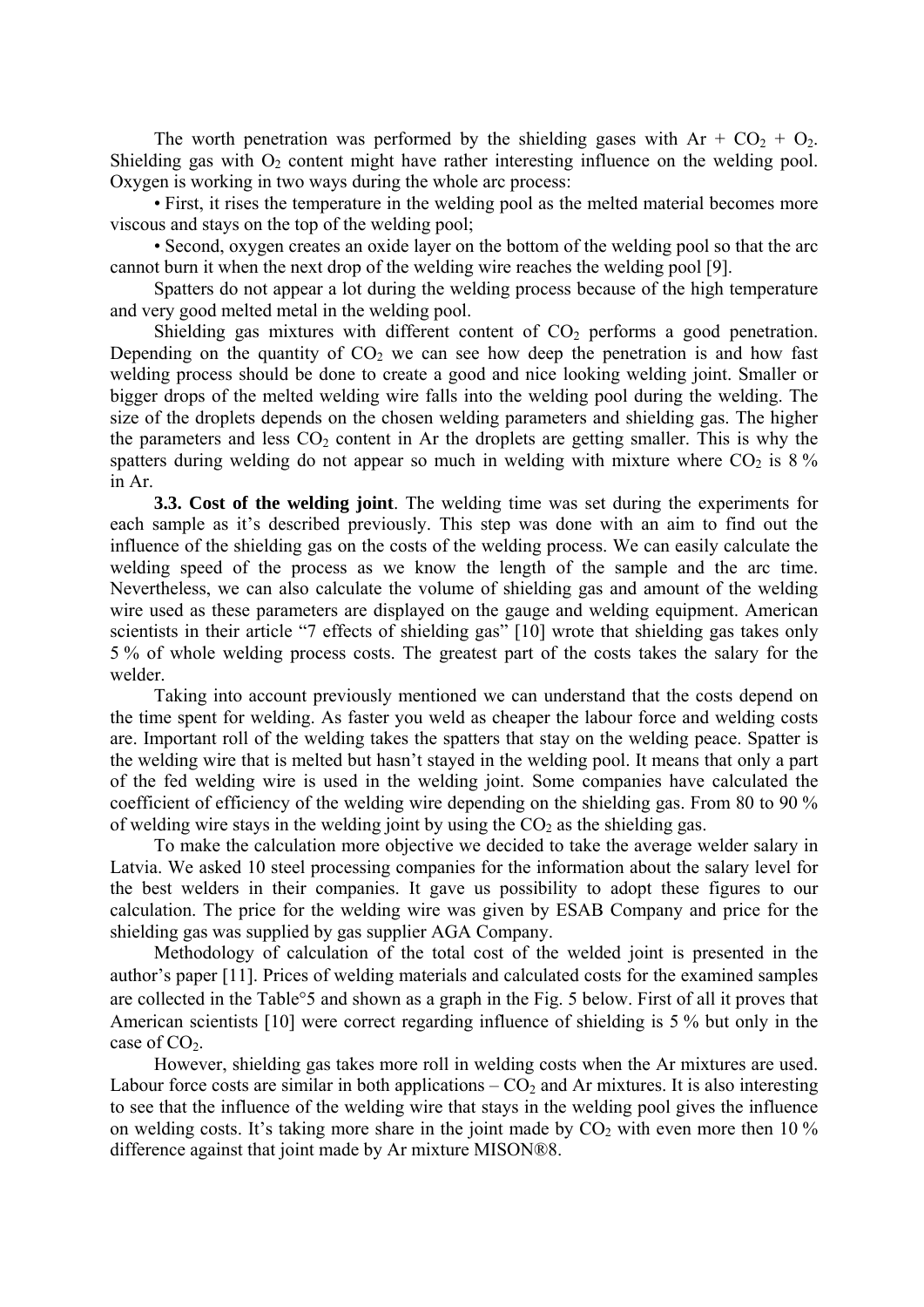The worth penetration was performed by the shielding gases with  $Ar + CO_2 + O_2$ . Shielding gas with  $O_2$  content might have rather interesting influence on the welding pool. Oxygen is working in two ways during the whole arc process:

• First, it rises the temperature in the welding pool as the melted material becomes more viscous and stays on the top of the welding pool;

• Second, oxygen creates an oxide layer on the bottom of the welding pool so that the arc cannot burn it when the next drop of the welding wire reaches the welding pool [9].

Spatters do not appear a lot during the welding process because of the high temperature and very good melted metal in the welding pool.

Shielding gas mixtures with different content of  $CO<sub>2</sub>$  performs a good penetration. Depending on the quantity of  $CO<sub>2</sub>$  we can see how deep the penetration is and how fast welding process should be done to create a good and nice looking welding joint. Smaller or bigger drops of the melted welding wire falls into the welding pool during the welding. The size of the droplets depends on the chosen welding parameters and shielding gas. The higher the parameters and less  $CO<sub>2</sub>$  content in Ar the droplets are getting smaller. This is why the spatters during welding do not appear so much in welding with mixture where  $CO<sub>2</sub>$  is 8 % in Ar.

**3.3. Cost of the welding joint**. The welding time was set during the experiments for each sample as it's described previously. This step was done with an aim to find out the influence of the shielding gas on the costs of the welding process. We can easily calculate the welding speed of the process as we know the length of the sample and the arc time. Nevertheless, we can also calculate the volume of shielding gas and amount of the welding wire used as these parameters are displayed on the gauge and welding equipment. American scientists in their article "7 effects of shielding gas" [10] wrote that shielding gas takes only 5 % of whole welding process costs. The greatest part of the costs takes the salary for the welder

Taking into account previously mentioned we can understand that the costs depend on the time spent for welding. As faster you weld as cheaper the labour force and welding costs are. Important roll of the welding takes the spatters that stay on the welding peace. Spatter is the welding wire that is melted but hasn't stayed in the welding pool. It means that only a part of the fed welding wire is used in the welding joint. Some companies have calculated the coefficient of efficiency of the welding wire depending on the shielding gas. From 80 to 90 % of welding wire stays in the welding joint by using the  $CO<sub>2</sub>$  as the shielding gas.

To make the calculation more objective we decided to take the average welder salary in Latvia. We asked 10 steel processing companies for the information about the salary level for the best welders in their companies. It gave us possibility to adopt these figures to our calculation. The price for the welding wire was given by ESAB Company and price for the shielding gas was supplied by gas supplier AGA Company.

Methodology of calculation of the total cost of the welded joint is presented in the author's paper [11]. Prices of welding materials and calculated costs for the examined samples are collected in the Table<sup>o</sup>5 and shown as a graph in the Fig. 5 below. First of all it proves that American scientists  $[10]$  were correct regarding influence of shielding is 5 % but only in the case of  $CO<sub>2</sub>$ .

However, shielding gas takes more roll in welding costs when the Ar mixtures are used. Labour force costs are similar in both applications  $-CO<sub>2</sub>$  and Ar mixtures. It is also interesting to see that the influence of the welding wire that stays in the welding pool gives the influence on welding costs. It's taking more share in the joint made by  $CO<sub>2</sub>$  with even more then 10 % difference against that joint made by Ar mixture MISON®8.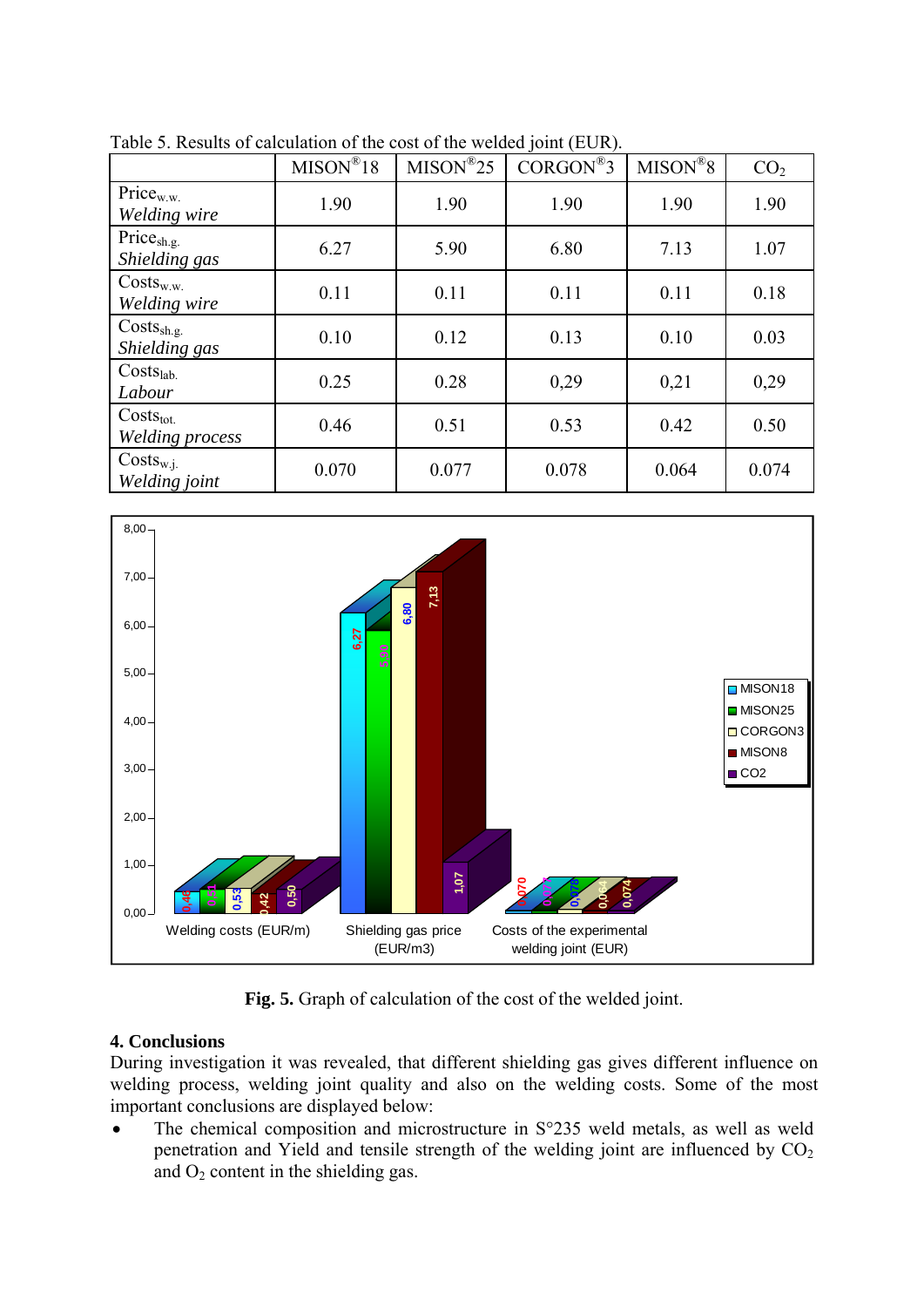|                                         | $MISON^{\circledR}18$ | $MISON^{\circledR}25$ | $CORGON^@3$ | $MISON^{\circledR}8$ | CO <sub>2</sub> |
|-----------------------------------------|-----------------------|-----------------------|-------------|----------------------|-----------------|
| Price <sub>w.w.</sub><br>Welding wire   | 1.90                  | 1.90                  | 1.90        | 1.90                 | 1.90            |
| Price <sub>sh.g.</sub><br>Shielding gas | 6.27                  | 5.90                  | 6.80        | 7.13                 | 1.07            |
| $Cost_{w.w.}$<br>Welding wire           | 0.11                  | 0.11                  | 0.11        | 0.11                 | 0.18            |
| Costs <sub>sh.g.</sub><br>Shielding gas | 0.10                  | 0.12                  | 0.13        | 0.10                 | 0.03            |
| Costs <sub>lab.</sub><br>Labour         | 0.25                  | 0.28                  | 0,29        | 0,21                 | 0,29            |
| $Costs_{tot.}$<br>Welding process       | 0.46                  | 0.51                  | 0.53        | 0.42                 | 0.50            |
| $Costs_{w.i.}$<br>Welding joint         | 0.070                 | 0.077                 | 0.078       | 0.064                | 0.074           |

Table 5. Results of calculation of the cost of the welded joint (EUR).



**Fig. 5.** Graph of calculation of the cost of the welded joint.

## **4. Conclusions**

During investigation it was revealed, that different shielding gas gives different influence on welding process, welding joint quality and also on the welding costs. Some of the most important conclusions are displayed below:

• The chemical composition and microstructure in S°235 weld metals, as well as weld penetration and Yield and tensile strength of the welding joint are influenced by  $CO<sub>2</sub>$